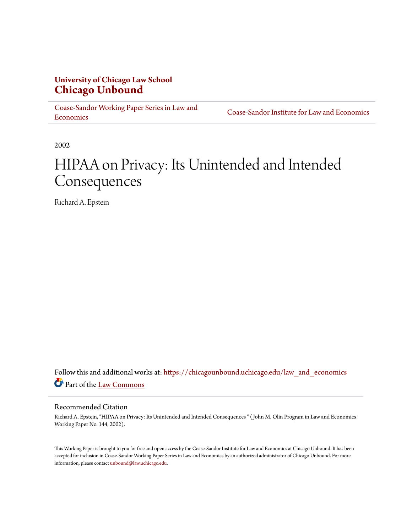# **University of Chicago Law School [Chicago Unbound](https://chicagounbound.uchicago.edu?utm_source=chicagounbound.uchicago.edu%2Flaw_and_economics%2F235&utm_medium=PDF&utm_campaign=PDFCoverPages)**

[Coase-Sandor Working Paper Series in Law and](https://chicagounbound.uchicago.edu/law_and_economics?utm_source=chicagounbound.uchicago.edu%2Flaw_and_economics%2F235&utm_medium=PDF&utm_campaign=PDFCoverPages) [Economics](https://chicagounbound.uchicago.edu/law_and_economics?utm_source=chicagounbound.uchicago.edu%2Flaw_and_economics%2F235&utm_medium=PDF&utm_campaign=PDFCoverPages)

[Coase-Sandor Institute for Law and Economics](https://chicagounbound.uchicago.edu/coase_sandor_institute?utm_source=chicagounbound.uchicago.edu%2Flaw_and_economics%2F235&utm_medium=PDF&utm_campaign=PDFCoverPages)

2002

# HIPAA on Privacy: Its Unintended and Intended Consequences

Richard A. Epstein

Follow this and additional works at: [https://chicagounbound.uchicago.edu/law\\_and\\_economics](https://chicagounbound.uchicago.edu/law_and_economics?utm_source=chicagounbound.uchicago.edu%2Flaw_and_economics%2F235&utm_medium=PDF&utm_campaign=PDFCoverPages) Part of the [Law Commons](http://network.bepress.com/hgg/discipline/578?utm_source=chicagounbound.uchicago.edu%2Flaw_and_economics%2F235&utm_medium=PDF&utm_campaign=PDFCoverPages)

#### Recommended Citation

Richard A. Epstein, "HIPAA on Privacy: Its Unintended and Intended Consequences " ( John M. Olin Program in Law and Economics Working Paper No. 144, 2002).

This Working Paper is brought to you for free and open access by the Coase-Sandor Institute for Law and Economics at Chicago Unbound. It has been accepted for inclusion in Coase-Sandor Working Paper Series in Law and Economics by an authorized administrator of Chicago Unbound. For more information, please contact [unbound@law.uchicago.edu.](mailto:unbound@law.uchicago.edu)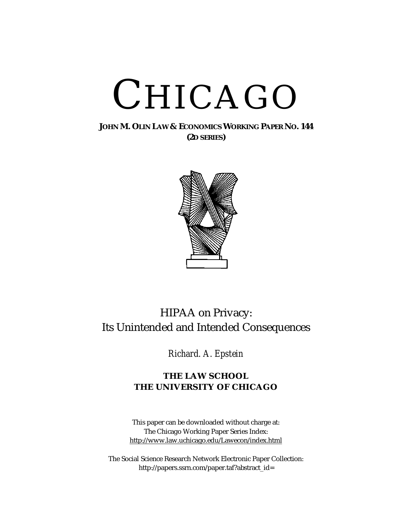# CHICAGO

## **JOHN M. OLIN LAW & ECONOMICS WORKING PAPER NO. 144 (2D SERIES)**



# HIPAA on Privacy: Its Unintended and Intended Consequences

*Richard. A. Epstein*

# **THE LAW SCHOOL THE UNIVERSITY OF CHICAGO**

This paper can be downloaded without charge at: The Chicago Working Paper Series Index: [http://www.law.uchicago.edu/Lawecon/index.html](http://www.law.uchicago.edu/Publications/Working/index.html)

The Social Science Research Network Electronic Paper Collection: [http://papers.ssrn.com/paper.taf?abstract\\_id=](http://papers.ssrn.com/sol3/search.taf)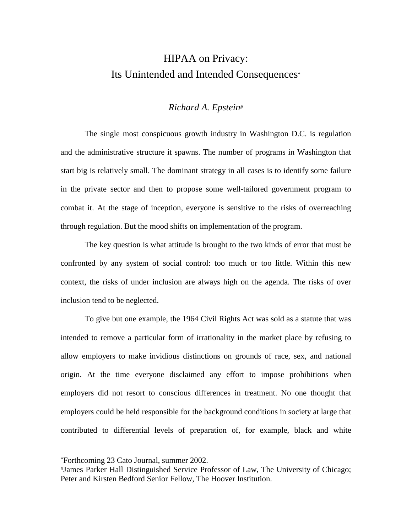# HIPAA on Privacy: Its Unintended and Intended Consequences\*

#### *Richard A. Epstein#*

The single most conspicuous growth industry in Washington D.C. is regulation and the administrative structure it spawns. The number of programs in Washington that start big is relatively small. The dominant strategy in all cases is to identify some failure in the private sector and then to propose some well-tailored government program to combat it. At the stage of inception, everyone is sensitive to the risks of overreaching through regulation. But the mood shifts on implementation of the program.

The key question is what attitude is brought to the two kinds of error that must be confronted by any system of social control: too much or too little. Within this new context, the risks of under inclusion are always high on the agenda. The risks of over inclusion tend to be neglected.

To give but one example, the 1964 Civil Rights Act was sold as a statute that was intended to remove a particular form of irrationality in the market place by refusing to allow employers to make invidious distinctions on grounds of race, sex, and national origin. At the time everyone disclaimed any effort to impose prohibitions when employers did not resort to conscious differences in treatment. No one thought that employers could be held responsible for the background conditions in society at large that contributed to differential levels of preparation of, for example, black and white

<sup>\*</sup>Forthcoming 23 Cato Journal, summer 2002.

<sup>#</sup>James Parker Hall Distinguished Service Professor of Law, The University of Chicago; Peter and Kirsten Bedford Senior Fellow, The Hoover Institution.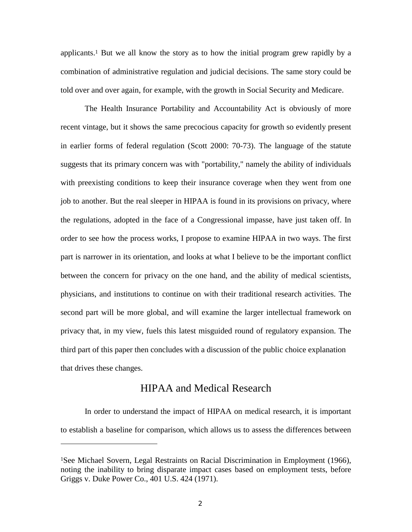applicants.<sup>1</sup> But we all know the story as to how the initial program grew rapidly by a combination of administrative regulation and judicial decisions. The same story could be told over and over again, for example, with the growth in Social Security and Medicare.

The Health Insurance Portability and Accountability Act is obviously of more recent vintage, but it shows the same precocious capacity for growth so evidently present in earlier forms of federal regulation (Scott 2000: 70-73). The language of the statute suggests that its primary concern was with "portability," namely the ability of individuals with preexisting conditions to keep their insurance coverage when they went from one job to another. But the real sleeper in HIPAA is found in its provisions on privacy, where the regulations, adopted in the face of a Congressional impasse, have just taken off. In order to see how the process works, I propose to examine HIPAA in two ways. The first part is narrower in its orientation, and looks at what I believe to be the important conflict between the concern for privacy on the one hand, and the ability of medical scientists, physicians, and institutions to continue on with their traditional research activities. The second part will be more global, and will examine the larger intellectual framework on privacy that, in my view, fuels this latest misguided round of regulatory expansion. The third part of this paper then concludes with a discussion of the public choice explanation that drives these changes.

# HIPAA and Medical Research

In order to understand the impact of HIPAA on medical research, it is important to establish a baseline for comparison, which allows us to assess the differences between

<sup>1</sup>See Michael Sovern, Legal Restraints on Racial Discrimination in Employment (1966), noting the inability to bring disparate impact cases based on employment tests, before Griggs v. Duke Power Co., 401 U.S. 424 (1971).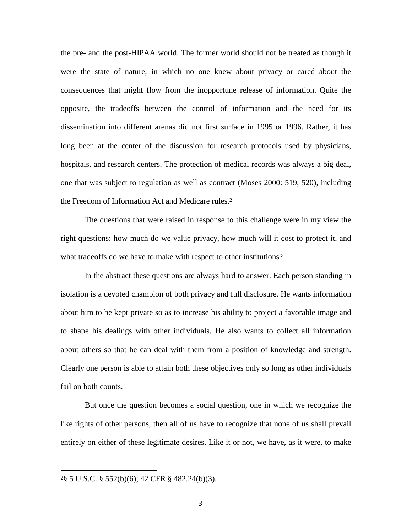the pre- and the post-HIPAA world. The former world should not be treated as though it were the state of nature, in which no one knew about privacy or cared about the consequences that might flow from the inopportune release of information. Quite the opposite, the tradeoffs between the control of information and the need for its dissemination into different arenas did not first surface in 1995 or 1996. Rather, it has long been at the center of the discussion for research protocols used by physicians, hospitals, and research centers. The protection of medical records was always a big deal, one that was subject to regulation as well as contract (Moses 2000: 519, 520), including the Freedom of Information Act and Medicare rules.2

The questions that were raised in response to this challenge were in my view the right questions: how much do we value privacy, how much will it cost to protect it, and what tradeoffs do we have to make with respect to other institutions?

In the abstract these questions are always hard to answer. Each person standing in isolation is a devoted champion of both privacy and full disclosure. He wants information about him to be kept private so as to increase his ability to project a favorable image and to shape his dealings with other individuals. He also wants to collect all information about others so that he can deal with them from a position of knowledge and strength. Clearly one person is able to attain both these objectives only so long as other individuals fail on both counts.

But once the question becomes a social question, one in which we recognize the like rights of other persons, then all of us have to recognize that none of us shall prevail entirely on either of these legitimate desires. Like it or not, we have, as it were, to make

2§ 5 U.S.C. § 552(b)(6); 42 CFR § 482.24(b)(3).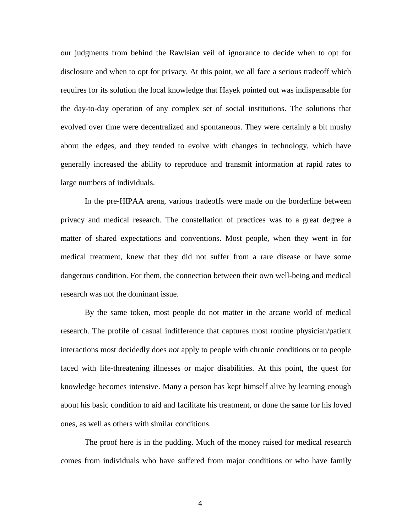our judgments from behind the Rawlsian veil of ignorance to decide when to opt for disclosure and when to opt for privacy. At this point, we all face a serious tradeoff which requires for its solution the local knowledge that Hayek pointed out was indispensable for the day-to-day operation of any complex set of social institutions. The solutions that evolved over time were decentralized and spontaneous. They were certainly a bit mushy about the edges, and they tended to evolve with changes in technology, which have generally increased the ability to reproduce and transmit information at rapid rates to large numbers of individuals.

In the pre-HIPAA arena, various tradeoffs were made on the borderline between privacy and medical research. The constellation of practices was to a great degree a matter of shared expectations and conventions. Most people, when they went in for medical treatment, knew that they did not suffer from a rare disease or have some dangerous condition. For them, the connection between their own well-being and medical research was not the dominant issue.

By the same token, most people do not matter in the arcane world of medical research. The profile of casual indifference that captures most routine physician/patient interactions most decidedly does *not* apply to people with chronic conditions or to people faced with life-threatening illnesses or major disabilities. At this point, the quest for knowledge becomes intensive. Many a person has kept himself alive by learning enough about his basic condition to aid and facilitate his treatment, or done the same for his loved ones, as well as others with similar conditions.

The proof here is in the pudding. Much of the money raised for medical research comes from individuals who have suffered from major conditions or who have family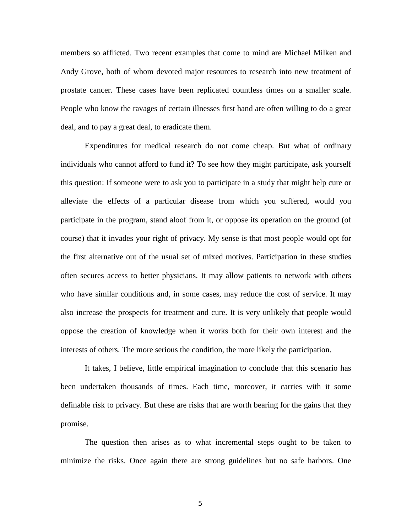members so afflicted. Two recent examples that come to mind are Michael Milken and Andy Grove, both of whom devoted major resources to research into new treatment of prostate cancer. These cases have been replicated countless times on a smaller scale. People who know the ravages of certain illnesses first hand are often willing to do a great deal, and to pay a great deal, to eradicate them.

 Expenditures for medical research do not come cheap. But what of ordinary individuals who cannot afford to fund it? To see how they might participate, ask yourself this question: If someone were to ask you to participate in a study that might help cure or alleviate the effects of a particular disease from which you suffered, would you participate in the program, stand aloof from it, or oppose its operation on the ground (of course) that it invades your right of privacy. My sense is that most people would opt for the first alternative out of the usual set of mixed motives. Participation in these studies often secures access to better physicians. It may allow patients to network with others who have similar conditions and, in some cases, may reduce the cost of service. It may also increase the prospects for treatment and cure. It is very unlikely that people would oppose the creation of knowledge when it works both for their own interest and the interests of others. The more serious the condition, the more likely the participation.

It takes, I believe, little empirical imagination to conclude that this scenario has been undertaken thousands of times. Each time, moreover, it carries with it some definable risk to privacy. But these are risks that are worth bearing for the gains that they promise.

The question then arises as to what incremental steps ought to be taken to minimize the risks. Once again there are strong guidelines but no safe harbors. One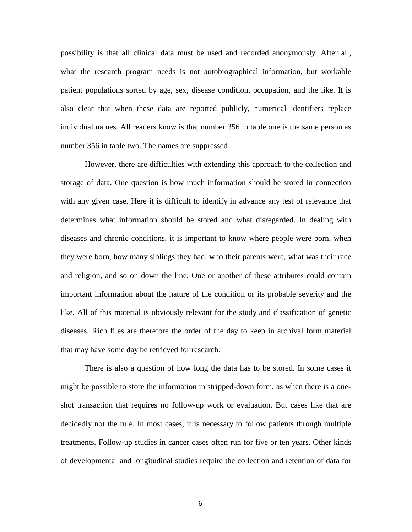possibility is that all clinical data must be used and recorded anonymously. After all, what the research program needs is not autobiographical information, but workable patient populations sorted by age, sex, disease condition, occupation, and the like. It is also clear that when these data are reported publicly, numerical identifiers replace individual names. All readers know is that number 356 in table one is the same person as number 356 in table two. The names are suppressed

However, there are difficulties with extending this approach to the collection and storage of data. One question is how much information should be stored in connection with any given case. Here it is difficult to identify in advance any test of relevance that determines what information should be stored and what disregarded. In dealing with diseases and chronic conditions, it is important to know where people were born, when they were born, how many siblings they had, who their parents were, what was their race and religion, and so on down the line. One or another of these attributes could contain important information about the nature of the condition or its probable severity and the like. All of this material is obviously relevant for the study and classification of genetic diseases. Rich files are therefore the order of the day to keep in archival form material that may have some day be retrieved for research.

There is also a question of how long the data has to be stored. In some cases it might be possible to store the information in stripped-down form, as when there is a oneshot transaction that requires no follow-up work or evaluation. But cases like that are decidedly not the rule. In most cases, it is necessary to follow patients through multiple treatments. Follow-up studies in cancer cases often run for five or ten years. Other kinds of developmental and longitudinal studies require the collection and retention of data for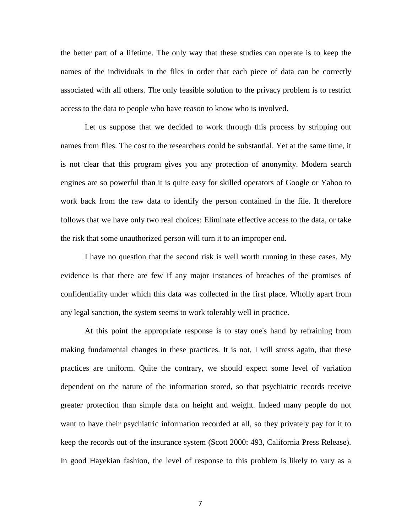the better part of a lifetime. The only way that these studies can operate is to keep the names of the individuals in the files in order that each piece of data can be correctly associated with all others. The only feasible solution to the privacy problem is to restrict access to the data to people who have reason to know who is involved.

Let us suppose that we decided to work through this process by stripping out names from files. The cost to the researchers could be substantial. Yet at the same time, it is not clear that this program gives you any protection of anonymity. Modern search engines are so powerful than it is quite easy for skilled operators of Google or Yahoo to work back from the raw data to identify the person contained in the file. It therefore follows that we have only two real choices: Eliminate effective access to the data, or take the risk that some unauthorized person will turn it to an improper end.

I have no question that the second risk is well worth running in these cases. My evidence is that there are few if any major instances of breaches of the promises of confidentiality under which this data was collected in the first place. Wholly apart from any legal sanction, the system seems to work tolerably well in practice.

At this point the appropriate response is to stay one's hand by refraining from making fundamental changes in these practices. It is not, I will stress again, that these practices are uniform. Quite the contrary, we should expect some level of variation dependent on the nature of the information stored, so that psychiatric records receive greater protection than simple data on height and weight. Indeed many people do not want to have their psychiatric information recorded at all, so they privately pay for it to keep the records out of the insurance system (Scott 2000: 493, California Press Release). In good Hayekian fashion, the level of response to this problem is likely to vary as a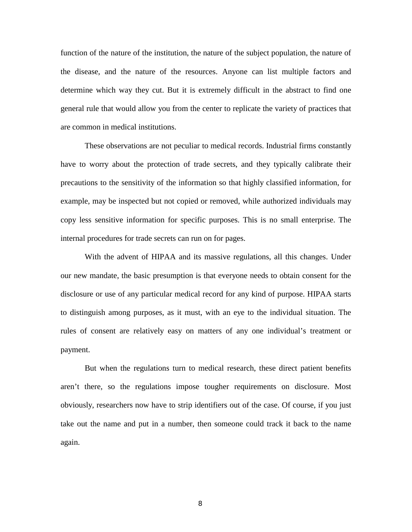function of the nature of the institution, the nature of the subject population, the nature of the disease, and the nature of the resources. Anyone can list multiple factors and determine which way they cut. But it is extremely difficult in the abstract to find one general rule that would allow you from the center to replicate the variety of practices that are common in medical institutions.

 These observations are not peculiar to medical records. Industrial firms constantly have to worry about the protection of trade secrets, and they typically calibrate their precautions to the sensitivity of the information so that highly classified information, for example, may be inspected but not copied or removed, while authorized individuals may copy less sensitive information for specific purposes. This is no small enterprise. The internal procedures for trade secrets can run on for pages.

 With the advent of HIPAA and its massive regulations, all this changes. Under our new mandate, the basic presumption is that everyone needs to obtain consent for the disclosure or use of any particular medical record for any kind of purpose. HIPAA starts to distinguish among purposes, as it must, with an eye to the individual situation. The rules of consent are relatively easy on matters of any one individual's treatment or payment.

But when the regulations turn to medical research, these direct patient benefits aren't there, so the regulations impose tougher requirements on disclosure. Most obviously, researchers now have to strip identifiers out of the case. Of course, if you just take out the name and put in a number, then someone could track it back to the name again.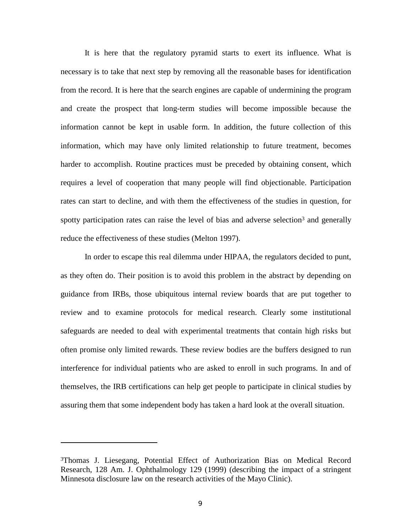It is here that the regulatory pyramid starts to exert its influence. What is necessary is to take that next step by removing all the reasonable bases for identification from the record. It is here that the search engines are capable of undermining the program and create the prospect that long-term studies will become impossible because the information cannot be kept in usable form. In addition, the future collection of this information, which may have only limited relationship to future treatment, becomes harder to accomplish. Routine practices must be preceded by obtaining consent, which requires a level of cooperation that many people will find objectionable. Participation rates can start to decline, and with them the effectiveness of the studies in question, for spotty participation rates can raise the level of bias and adverse selection<sup>3</sup> and generally reduce the effectiveness of these studies (Melton 1997).

In order to escape this real dilemma under HIPAA, the regulators decided to punt, as they often do. Their position is to avoid this problem in the abstract by depending on guidance from IRBs, those ubiquitous internal review boards that are put together to review and to examine protocols for medical research. Clearly some institutional safeguards are needed to deal with experimental treatments that contain high risks but often promise only limited rewards. These review bodies are the buffers designed to run interference for individual patients who are asked to enroll in such programs. In and of themselves, the IRB certifications can help get people to participate in clinical studies by assuring them that some independent body has taken a hard look at the overall situation.

<sup>3</sup>Thomas J. Liesegang, Potential Effect of Authorization Bias on Medical Record Research, 128 Am. J. Ophthalmology 129 (1999) (describing the impact of a stringent Minnesota disclosure law on the research activities of the Mayo Clinic).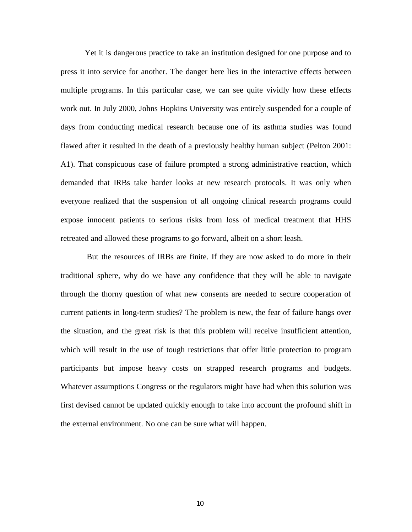Yet it is dangerous practice to take an institution designed for one purpose and to press it into service for another. The danger here lies in the interactive effects between multiple programs. In this particular case, we can see quite vividly how these effects work out. In July 2000, Johns Hopkins University was entirely suspended for a couple of days from conducting medical research because one of its asthma studies was found flawed after it resulted in the death of a previously healthy human subject (Pelton 2001: A1). That conspicuous case of failure prompted a strong administrative reaction, which demanded that IRBs take harder looks at new research protocols. It was only when everyone realized that the suspension of all ongoing clinical research programs could expose innocent patients to serious risks from loss of medical treatment that HHS retreated and allowed these programs to go forward, albeit on a short leash.

 But the resources of IRBs are finite. If they are now asked to do more in their traditional sphere, why do we have any confidence that they will be able to navigate through the thorny question of what new consents are needed to secure cooperation of current patients in long-term studies? The problem is new, the fear of failure hangs over the situation, and the great risk is that this problem will receive insufficient attention, which will result in the use of tough restrictions that offer little protection to program participants but impose heavy costs on strapped research programs and budgets. Whatever assumptions Congress or the regulators might have had when this solution was first devised cannot be updated quickly enough to take into account the profound shift in the external environment. No one can be sure what will happen.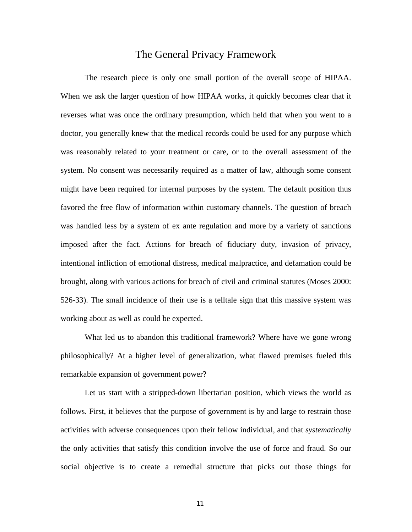## The General Privacy Framework

 The research piece is only one small portion of the overall scope of HIPAA. When we ask the larger question of how HIPAA works, it quickly becomes clear that it reverses what was once the ordinary presumption, which held that when you went to a doctor, you generally knew that the medical records could be used for any purpose which was reasonably related to your treatment or care, or to the overall assessment of the system. No consent was necessarily required as a matter of law, although some consent might have been required for internal purposes by the system. The default position thus favored the free flow of information within customary channels. The question of breach was handled less by a system of ex ante regulation and more by a variety of sanctions imposed after the fact. Actions for breach of fiduciary duty, invasion of privacy, intentional infliction of emotional distress, medical malpractice, and defamation could be brought, along with various actions for breach of civil and criminal statutes (Moses 2000: 526-33). The small incidence of their use is a telltale sign that this massive system was working about as well as could be expected.

 What led us to abandon this traditional framework? Where have we gone wrong philosophically? At a higher level of generalization, what flawed premises fueled this remarkable expansion of government power?

Let us start with a stripped-down libertarian position, which views the world as follows. First, it believes that the purpose of government is by and large to restrain those activities with adverse consequences upon their fellow individual, and that *systematically*  the only activities that satisfy this condition involve the use of force and fraud. So our social objective is to create a remedial structure that picks out those things for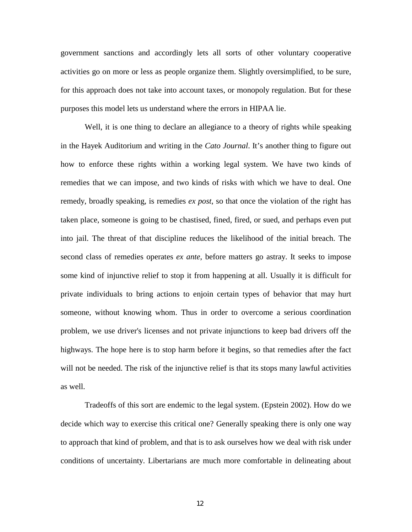government sanctions and accordingly lets all sorts of other voluntary cooperative activities go on more or less as people organize them. Slightly oversimplified, to be sure, for this approach does not take into account taxes, or monopoly regulation. But for these purposes this model lets us understand where the errors in HIPAA lie.

Well, it is one thing to declare an allegiance to a theory of rights while speaking in the Hayek Auditorium and writing in the *Cato Journal*. It's another thing to figure out how to enforce these rights within a working legal system. We have two kinds of remedies that we can impose, and two kinds of risks with which we have to deal. One remedy, broadly speaking, is remedies *ex post*, so that once the violation of the right has taken place, someone is going to be chastised, fined, fired, or sued, and perhaps even put into jail. The threat of that discipline reduces the likelihood of the initial breach. The second class of remedies operates *ex ante*, before matters go astray. It seeks to impose some kind of injunctive relief to stop it from happening at all. Usually it is difficult for private individuals to bring actions to enjoin certain types of behavior that may hurt someone, without knowing whom. Thus in order to overcome a serious coordination problem, we use driver's licenses and not private injunctions to keep bad drivers off the highways. The hope here is to stop harm before it begins, so that remedies after the fact will not be needed. The risk of the injunctive relief is that its stops many lawful activities as well.

Tradeoffs of this sort are endemic to the legal system. (Epstein 2002). How do we decide which way to exercise this critical one? Generally speaking there is only one way to approach that kind of problem, and that is to ask ourselves how we deal with risk under conditions of uncertainty. Libertarians are much more comfortable in delineating about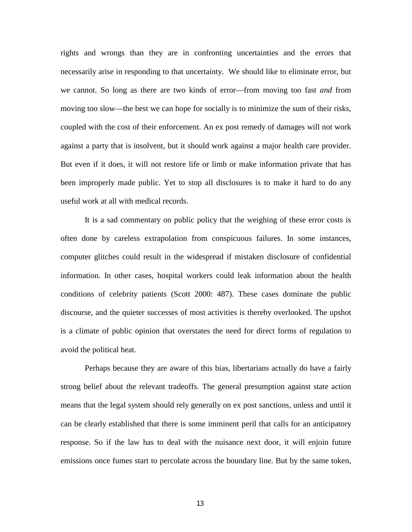rights and wrongs than they are in confronting uncertainties and the errors that necessarily arise in responding to that uncertainty. We should like to eliminate error, but we cannot. So long as there are two kinds of error—from moving too fast *and* from moving too slow—the best we can hope for socially is to minimize the sum of their risks, coupled with the cost of their enforcement. An ex post remedy of damages will not work against a party that is insolvent, but it should work against a major health care provider. But even if it does, it will not restore life or limb or make information private that has been improperly made public. Yet to stop all disclosures is to make it hard to do any useful work at all with medical records.

It is a sad commentary on public policy that the weighing of these error costs is often done by careless extrapolation from conspicuous failures. In some instances, computer glitches could result in the widespread if mistaken disclosure of confidential information. In other cases, hospital workers could leak information about the health conditions of celebrity patients (Scott 2000: 487). These cases dominate the public discourse, and the quieter successes of most activities is thereby overlooked. The upshot is a climate of public opinion that overstates the need for direct forms of regulation to avoid the political heat.

Perhaps because they are aware of this bias, libertarians actually do have a fairly strong belief about the relevant tradeoffs. The general presumption against state action means that the legal system should rely generally on ex post sanctions, unless and until it can be clearly established that there is some imminent peril that calls for an anticipatory response. So if the law has to deal with the nuisance next door, it will enjoin future emissions once fumes start to percolate across the boundary line. But by the same token,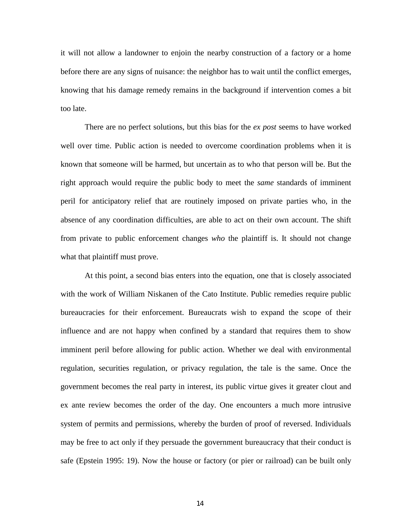it will not allow a landowner to enjoin the nearby construction of a factory or a home before there are any signs of nuisance: the neighbor has to wait until the conflict emerges, knowing that his damage remedy remains in the background if intervention comes a bit too late.

There are no perfect solutions, but this bias for the *ex post* seems to have worked well over time. Public action is needed to overcome coordination problems when it is known that someone will be harmed, but uncertain as to who that person will be. But the right approach would require the public body to meet the *same* standards of imminent peril for anticipatory relief that are routinely imposed on private parties who, in the absence of any coordination difficulties, are able to act on their own account. The shift from private to public enforcement changes *who* the plaintiff is. It should not change what that plaintiff must prove.

At this point, a second bias enters into the equation, one that is closely associated with the work of William Niskanen of the Cato Institute. Public remedies require public bureaucracies for their enforcement. Bureaucrats wish to expand the scope of their influence and are not happy when confined by a standard that requires them to show imminent peril before allowing for public action. Whether we deal with environmental regulation, securities regulation, or privacy regulation, the tale is the same. Once the government becomes the real party in interest, its public virtue gives it greater clout and ex ante review becomes the order of the day. One encounters a much more intrusive system of permits and permissions, whereby the burden of proof of reversed. Individuals may be free to act only if they persuade the government bureaucracy that their conduct is safe (Epstein 1995: 19). Now the house or factory (or pier or railroad) can be built only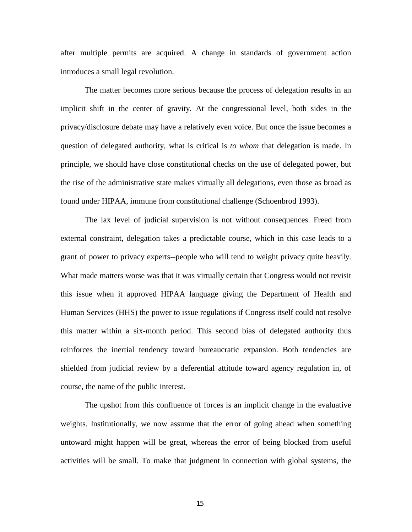after multiple permits are acquired. A change in standards of government action introduces a small legal revolution.

The matter becomes more serious because the process of delegation results in an implicit shift in the center of gravity. At the congressional level, both sides in the privacy/disclosure debate may have a relatively even voice. But once the issue becomes a question of delegated authority, what is critical is *to whom* that delegation is made. In principle, we should have close constitutional checks on the use of delegated power, but the rise of the administrative state makes virtually all delegations, even those as broad as found under HIPAA, immune from constitutional challenge (Schoenbrod 1993).

The lax level of judicial supervision is not without consequences. Freed from external constraint, delegation takes a predictable course, which in this case leads to a grant of power to privacy experts--people who will tend to weight privacy quite heavily. What made matters worse was that it was virtually certain that Congress would not revisit this issue when it approved HIPAA language giving the Department of Health and Human Services (HHS) the power to issue regulations if Congress itself could not resolve this matter within a six-month period. This second bias of delegated authority thus reinforces the inertial tendency toward bureaucratic expansion. Both tendencies are shielded from judicial review by a deferential attitude toward agency regulation in, of course, the name of the public interest.

The upshot from this confluence of forces is an implicit change in the evaluative weights. Institutionally, we now assume that the error of going ahead when something untoward might happen will be great, whereas the error of being blocked from useful activities will be small. To make that judgment in connection with global systems, the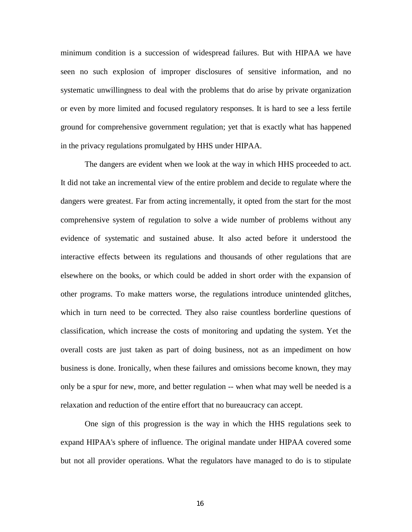minimum condition is a succession of widespread failures. But with HIPAA we have seen no such explosion of improper disclosures of sensitive information, and no systematic unwillingness to deal with the problems that do arise by private organization or even by more limited and focused regulatory responses. It is hard to see a less fertile ground for comprehensive government regulation; yet that is exactly what has happened in the privacy regulations promulgated by HHS under HIPAA.

The dangers are evident when we look at the way in which HHS proceeded to act. It did not take an incremental view of the entire problem and decide to regulate where the dangers were greatest. Far from acting incrementally, it opted from the start for the most comprehensive system of regulation to solve a wide number of problems without any evidence of systematic and sustained abuse. It also acted before it understood the interactive effects between its regulations and thousands of other regulations that are elsewhere on the books, or which could be added in short order with the expansion of other programs. To make matters worse, the regulations introduce unintended glitches, which in turn need to be corrected. They also raise countless borderline questions of classification, which increase the costs of monitoring and updating the system. Yet the overall costs are just taken as part of doing business, not as an impediment on how business is done. Ironically, when these failures and omissions become known, they may only be a spur for new, more, and better regulation -- when what may well be needed is a relaxation and reduction of the entire effort that no bureaucracy can accept.

One sign of this progression is the way in which the HHS regulations seek to expand HIPAA's sphere of influence. The original mandate under HIPAA covered some but not all provider operations. What the regulators have managed to do is to stipulate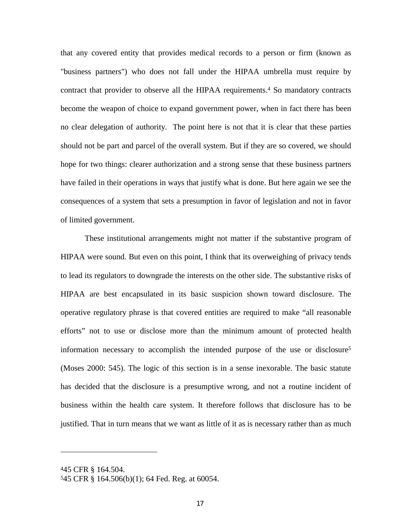that any covered entity that provides medical records to a person or firm (known as "business partners") who does not fall under the HIPAA umbrella must require by contract that provider to observe all the HIPAA requirements.4 So mandatory contracts become the weapon of choice to expand government power, when in fact there has been no clear delegation of authority. The point here is not that it is clear that these parties should not be part and parcel of the overall system. But if they are so covered, we should hope for two things: clearer authorization and a strong sense that these business partners have failed in their operations in ways that justify what is done. But here again we see the consequences of a system that sets a presumption in favor of legislation and not in favor of limited government.

These institutional arrangements might not matter if the substantive program of HIPAA were sound. But even on this point, I think that its overweighing of privacy tends to lead its regulators to downgrade the interests on the other side. The substantive risks of HIPAA are best encapsulated in its basic suspicion shown toward disclosure. The operative regulatory phrase is that covered entities are required to make "all reasonable efforts" not to use or disclose more than the minimum amount of protected health information necessary to accomplish the intended purpose of the use or disclosure5 (Moses 2000: 545). The logic of this section is in a sense inexorable. The basic statute has decided that the disclosure is a presumptive wrong, and not a routine incident of business within the health care system. It therefore follows that disclosure has to be justified. That in turn means that we want as little of it as is necessary rather than as much

<sup>445</sup> CFR § 164.504.

<sup>545</sup> CFR § 164.506(b)(1); 64 Fed. Reg. at 60054.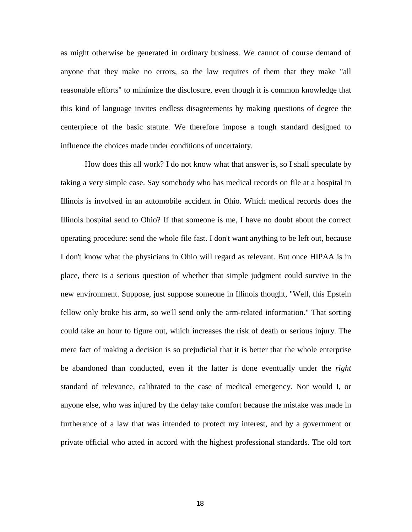as might otherwise be generated in ordinary business. We cannot of course demand of anyone that they make no errors, so the law requires of them that they make "all reasonable efforts" to minimize the disclosure, even though it is common knowledge that this kind of language invites endless disagreements by making questions of degree the centerpiece of the basic statute. We therefore impose a tough standard designed to influence the choices made under conditions of uncertainty.

How does this all work? I do not know what that answer is, so I shall speculate by taking a very simple case. Say somebody who has medical records on file at a hospital in Illinois is involved in an automobile accident in Ohio. Which medical records does the Illinois hospital send to Ohio? If that someone is me, I have no doubt about the correct operating procedure: send the whole file fast. I don't want anything to be left out, because I don't know what the physicians in Ohio will regard as relevant. But once HIPAA is in place, there is a serious question of whether that simple judgment could survive in the new environment. Suppose, just suppose someone in Illinois thought, "Well, this Epstein fellow only broke his arm, so we'll send only the arm-related information." That sorting could take an hour to figure out, which increases the risk of death or serious injury. The mere fact of making a decision is so prejudicial that it is better that the whole enterprise be abandoned than conducted, even if the latter is done eventually under the *right* standard of relevance, calibrated to the case of medical emergency. Nor would I, or anyone else, who was injured by the delay take comfort because the mistake was made in furtherance of a law that was intended to protect my interest, and by a government or private official who acted in accord with the highest professional standards. The old tort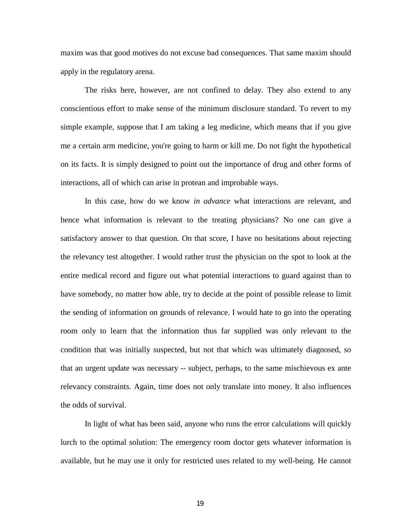maxim was that good motives do not excuse bad consequences. That same maxim should apply in the regulatory arena.

The risks here, however, are not confined to delay. They also extend to any conscientious effort to make sense of the minimum disclosure standard. To revert to my simple example, suppose that I am taking a leg medicine, which means that if you give me a certain arm medicine, you're going to harm or kill me. Do not fight the hypothetical on its facts. It is simply designed to point out the importance of drug and other forms of interactions, all of which can arise in protean and improbable ways.

In this case, how do we know *in advance* what interactions are relevant, and hence what information is relevant to the treating physicians? No one can give a satisfactory answer to that question. On that score, I have no hesitations about rejecting the relevancy test altogether. I would rather trust the physician on the spot to look at the entire medical record and figure out what potential interactions to guard against than to have somebody, no matter how able, try to decide at the point of possible release to limit the sending of information on grounds of relevance. I would hate to go into the operating room only to learn that the information thus far supplied was only relevant to the condition that was initially suspected, but not that which was ultimately diagnosed, so that an urgent update was necessary -- subject, perhaps, to the same mischievous ex ante relevancy constraints. Again, time does not only translate into money. It also influences the odds of survival.

In light of what has been said, anyone who runs the error calculations will quickly lurch to the optimal solution: The emergency room doctor gets whatever information is available, but he may use it only for restricted uses related to my well-being. He cannot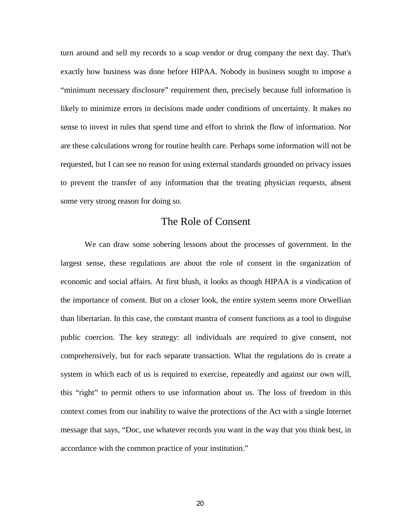turn around and sell my records to a soap vendor or drug company the next day. That's exactly how business was done before HIPAA. Nobody in business sought to impose a "minimum necessary disclosure" requirement then, precisely because full information is likely to minimize errors in decisions made under conditions of uncertainty. It makes no sense to invest in rules that spend time and effort to shrink the flow of information. Nor are these calculations wrong for routine health care. Perhaps some information will not be requested, but I can see no reason for using external standards grounded on privacy issues to prevent the transfer of any information that the treating physician requests, absent some very strong reason for doing so.

## The Role of Consent

We can draw some sobering lessons about the processes of government. In the largest sense, these regulations are about the role of consent in the organization of economic and social affairs. At first blush, it looks as though HIPAA is a vindication of the importance of consent. But on a closer look, the entire system seems more Orwellian than libertarian. In this case, the constant mantra of consent functions as a tool to disguise public coercion. The key strategy: all individuals are required to give consent, not comprehensively, but for each separate transaction. What the regulations do is create a system in which each of us is required to exercise, repeatedly and against our own will, this "right" to permit others to use information about us. The loss of freedom in this context comes from our inability to waive the protections of the Act with a single Internet message that says, "Doc, use whatever records you want in the way that you think best, in accordance with the common practice of your institution."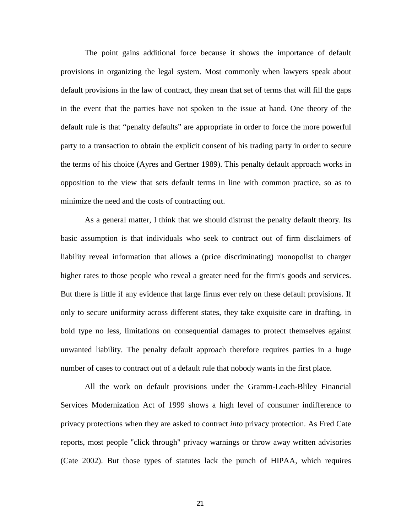The point gains additional force because it shows the importance of default provisions in organizing the legal system. Most commonly when lawyers speak about default provisions in the law of contract, they mean that set of terms that will fill the gaps in the event that the parties have not spoken to the issue at hand. One theory of the default rule is that "penalty defaults" are appropriate in order to force the more powerful party to a transaction to obtain the explicit consent of his trading party in order to secure the terms of his choice (Ayres and Gertner 1989). This penalty default approach works in opposition to the view that sets default terms in line with common practice, so as to minimize the need and the costs of contracting out.

As a general matter, I think that we should distrust the penalty default theory. Its basic assumption is that individuals who seek to contract out of firm disclaimers of liability reveal information that allows a (price discriminating) monopolist to charger higher rates to those people who reveal a greater need for the firm's goods and services. But there is little if any evidence that large firms ever rely on these default provisions. If only to secure uniformity across different states, they take exquisite care in drafting, in bold type no less, limitations on consequential damages to protect themselves against unwanted liability. The penalty default approach therefore requires parties in a huge number of cases to contract out of a default rule that nobody wants in the first place.

All the work on default provisions under the Gramm-Leach-Bliley Financial Services Modernization Act of 1999 shows a high level of consumer indifference to privacy protections when they are asked to contract *into* privacy protection. As Fred Cate reports, most people "click through" privacy warnings or throw away written advisories (Cate 2002). But those types of statutes lack the punch of HIPAA, which requires

21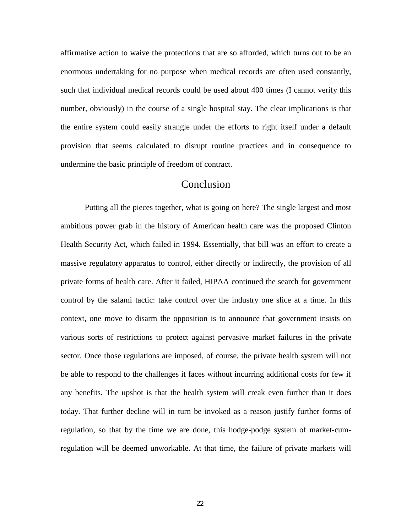affirmative action to waive the protections that are so afforded, which turns out to be an enormous undertaking for no purpose when medical records are often used constantly, such that individual medical records could be used about 400 times (I cannot verify this number, obviously) in the course of a single hospital stay. The clear implications is that the entire system could easily strangle under the efforts to right itself under a default provision that seems calculated to disrupt routine practices and in consequence to undermine the basic principle of freedom of contract.

# Conclusion

Putting all the pieces together, what is going on here? The single largest and most ambitious power grab in the history of American health care was the proposed Clinton Health Security Act, which failed in 1994. Essentially, that bill was an effort to create a massive regulatory apparatus to control, either directly or indirectly, the provision of all private forms of health care. After it failed, HIPAA continued the search for government control by the salami tactic: take control over the industry one slice at a time. In this context, one move to disarm the opposition is to announce that government insists on various sorts of restrictions to protect against pervasive market failures in the private sector. Once those regulations are imposed, of course, the private health system will not be able to respond to the challenges it faces without incurring additional costs for few if any benefits. The upshot is that the health system will creak even further than it does today. That further decline will in turn be invoked as a reason justify further forms of regulation, so that by the time we are done, this hodge-podge system of market-cumregulation will be deemed unworkable. At that time, the failure of private markets will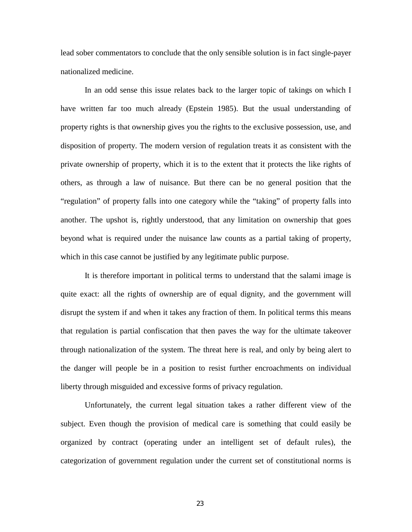lead sober commentators to conclude that the only sensible solution is in fact single-payer nationalized medicine.

In an odd sense this issue relates back to the larger topic of takings on which I have written far too much already (Epstein 1985). But the usual understanding of property rights is that ownership gives you the rights to the exclusive possession, use, and disposition of property. The modern version of regulation treats it as consistent with the private ownership of property, which it is to the extent that it protects the like rights of others, as through a law of nuisance. But there can be no general position that the "regulation" of property falls into one category while the "taking" of property falls into another. The upshot is, rightly understood, that any limitation on ownership that goes beyond what is required under the nuisance law counts as a partial taking of property, which in this case cannot be justified by any legitimate public purpose.

It is therefore important in political terms to understand that the salami image is quite exact: all the rights of ownership are of equal dignity, and the government will disrupt the system if and when it takes any fraction of them. In political terms this means that regulation is partial confiscation that then paves the way for the ultimate takeover through nationalization of the system. The threat here is real, and only by being alert to the danger will people be in a position to resist further encroachments on individual liberty through misguided and excessive forms of privacy regulation.

Unfortunately, the current legal situation takes a rather different view of the subject. Even though the provision of medical care is something that could easily be organized by contract (operating under an intelligent set of default rules), the categorization of government regulation under the current set of constitutional norms is

23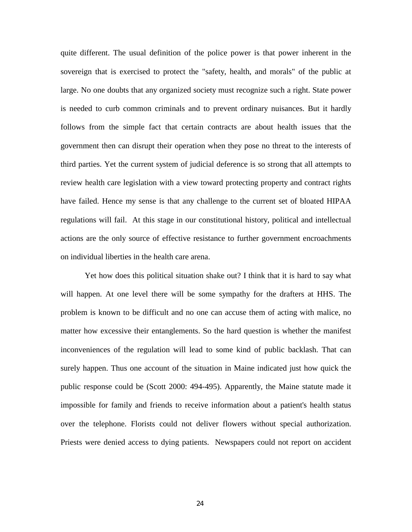quite different. The usual definition of the police power is that power inherent in the sovereign that is exercised to protect the "safety, health, and morals" of the public at large. No one doubts that any organized society must recognize such a right. State power is needed to curb common criminals and to prevent ordinary nuisances. But it hardly follows from the simple fact that certain contracts are about health issues that the government then can disrupt their operation when they pose no threat to the interests of third parties. Yet the current system of judicial deference is so strong that all attempts to review health care legislation with a view toward protecting property and contract rights have failed. Hence my sense is that any challenge to the current set of bloated HIPAA regulations will fail. At this stage in our constitutional history, political and intellectual actions are the only source of effective resistance to further government encroachments on individual liberties in the health care arena.

Yet how does this political situation shake out? I think that it is hard to say what will happen. At one level there will be some sympathy for the drafters at HHS. The problem is known to be difficult and no one can accuse them of acting with malice, no matter how excessive their entanglements. So the hard question is whether the manifest inconveniences of the regulation will lead to some kind of public backlash. That can surely happen. Thus one account of the situation in Maine indicated just how quick the public response could be (Scott 2000: 494-495). Apparently, the Maine statute made it impossible for family and friends to receive information about a patient's health status over the telephone. Florists could not deliver flowers without special authorization. Priests were denied access to dying patients. Newspapers could not report on accident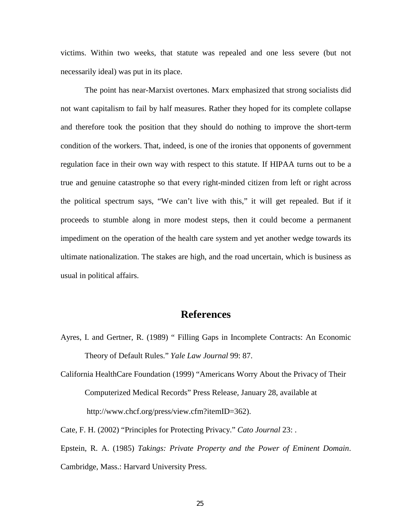victims. Within two weeks, that statute was repealed and one less severe (but not necessarily ideal) was put in its place.

 The point has near-Marxist overtones. Marx emphasized that strong socialists did not want capitalism to fail by half measures. Rather they hoped for its complete collapse and therefore took the position that they should do nothing to improve the short-term condition of the workers. That, indeed, is one of the ironies that opponents of government regulation face in their own way with respect to this statute. If HIPAA turns out to be a true and genuine catastrophe so that every right-minded citizen from left or right across the political spectrum says, "We can't live with this," it will get repealed. But if it proceeds to stumble along in more modest steps, then it could become a permanent impediment on the operation of the health care system and yet another wedge towards its ultimate nationalization. The stakes are high, and the road uncertain, which is business as usual in political affairs.

# **References**

- Ayres, I. and Gertner, R. (1989) " Filling Gaps in Incomplete Contracts: An Economic Theory of Default Rules." *Yale Law Journal* 99: 87.
- California HealthCare Foundation (1999) "Americans Worry About the Privacy of Their Computerized Medical Records" Press Release, January 28, available at http://www.chcf.org/press/view.cfm?itemID=362).

Cate, F. H. (2002) "Principles for Protecting Privacy." *Cato Journal* 23: . Epstein, R. A. (1985) *Takings: Private Property and the Power of Eminent Domain*. Cambridge, Mass.: Harvard University Press.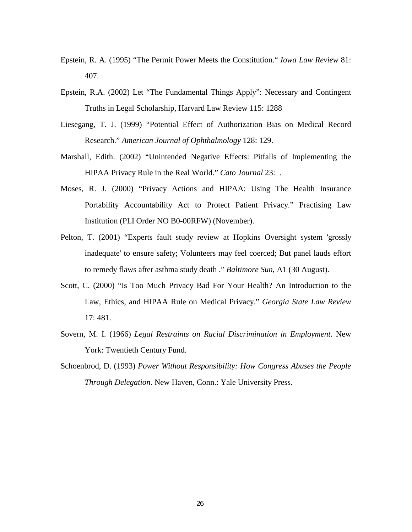- Epstein, R. A. (1995) "The Permit Power Meets the Constitution." *Iowa Law Review* 81: 407.
- Epstein, R.A. (2002) Let "The Fundamental Things Apply": Necessary and Contingent Truths in Legal Scholarship, Harvard Law Review 115: 1288
- Liesegang, T. J. (1999) "Potential Effect of Authorization Bias on Medical Record Research." *American Journal of Ophthalmology* 128: 129.
- Marshall, Edith. (2002) "Unintended Negative Effects: Pitfalls of Implementing the HIPAA Privacy Rule in the Real World." *Cato Journal* 23: .
- Moses, R. J. (2000) "Privacy Actions and HIPAA: Using The Health Insurance Portability Accountability Act to Protect Patient Privacy." Practising Law Institution (PLI Order NO B0-00RFW) (November).
- Pelton, T. (2001) "Experts fault study review at Hopkins Oversight system 'grossly inadequate' to ensure safety; Volunteers may feel coerced; But panel lauds effort to remedy flaws after asthma study death ." *Baltimore Sun*, A1 (30 August).
- Scott, C. (2000) "Is Too Much Privacy Bad For Your Health? An Introduction to the Law, Ethics, and HIPAA Rule on Medical Privacy." *Georgia State Law Review* 17: 481.
- Sovern, M. I. (1966) *Legal Restraints on Racial Discrimination in Employment*. New York: Twentieth Century Fund.
- Schoenbrod, D. (1993) *Power Without Responsibility: How Congress Abuses the People Through Delegation*. New Haven, Conn.: Yale University Press.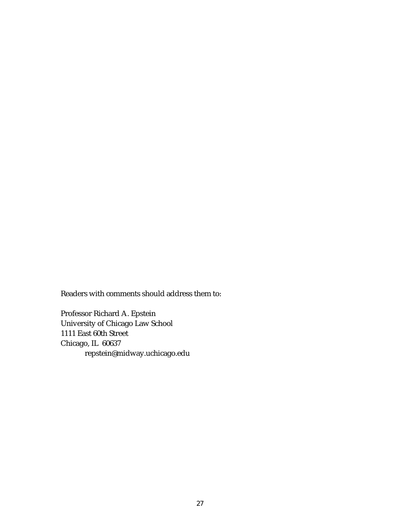Readers with comments should address them to:

Professor Richard A. Epstein University of Chicago Law School 1111 East 60th Street Chicago, IL 60637 repstein@midway.uchicago.edu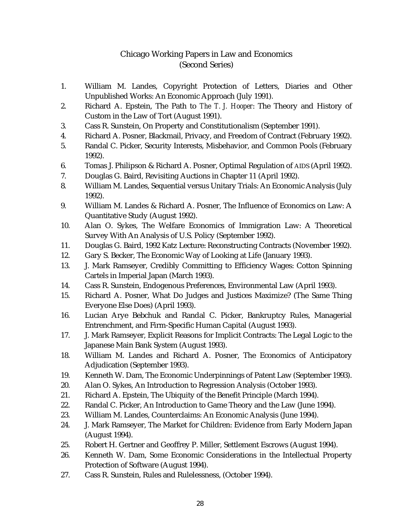# Chicago Working Papers in Law and Economics (Second Series)

- 1. William M. Landes, Copyright Protection of Letters, Diaries and Other Unpublished Works: An Economic Approach (July 1991).
- 2. Richard A. Epstein, The Path to *The T. J. Hooper*: The Theory and History of Custom in the Law of Tort (August 1991).
- 3. Cass R. Sunstein, On Property and Constitutionalism (September 1991).
- 4. Richard A. Posner, Blackmail, Privacy, and Freedom of Contract (February 1992).
- 5. Randal C. Picker, Security Interests, Misbehavior, and Common Pools (February 1992).
- 6. Tomas J. Philipson & Richard A. Posner, Optimal Regulation of AIDS (April 1992).
- 7. Douglas G. Baird, Revisiting Auctions in Chapter 11 (April 1992).
- 8. William M. Landes, Sequential versus Unitary Trials: An Economic Analysis (July 1992).
- 9. William M. Landes & Richard A. Posner, The Influence of Economics on Law: A Quantitative Study (August 1992).
- 10. Alan O. Sykes, The Welfare Economics of Immigration Law: A Theoretical Survey With An Analysis of U.S. Policy (September 1992).
- 11. Douglas G. Baird, 1992 Katz Lecture: Reconstructing Contracts (November 1992).
- 12. Gary S. Becker, The Economic Way of Looking at Life (January 1993).
- 13. J. Mark Ramseyer, Credibly Committing to Efficiency Wages: Cotton Spinning Cartels in Imperial Japan (March 1993).
- 14. Cass R. Sunstein, Endogenous Preferences, Environmental Law (April 1993).
- 15. Richard A. Posner, What Do Judges and Justices Maximize? (The Same Thing Everyone Else Does) (April 1993).
- 16. Lucian Arye Bebchuk and Randal C. Picker, Bankruptcy Rules, Managerial Entrenchment, and Firm-Specific Human Capital (August 1993).
- 17. J. Mark Ramseyer, Explicit Reasons for Implicit Contracts: The Legal Logic to the Japanese Main Bank System (August 1993).
- 18. William M. Landes and Richard A. Posner, The Economics of Anticipatory Adjudication (September 1993).
- 19. Kenneth W. Dam, The Economic Underpinnings of Patent Law (September 1993).
- 20. Alan O. Sykes, An Introduction to Regression Analysis (October 1993).
- 21. Richard A. Epstein, The Ubiquity of the Benefit Principle (March 1994).
- 22. Randal C. Picker, An Introduction to Game Theory and the Law (June 1994).
- 23. William M. Landes, Counterclaims: An Economic Analysis (June 1994).
- 24. J. Mark Ramseyer, The Market for Children: Evidence from Early Modern Japan (August 1994).
- 25. Robert H. Gertner and Geoffrey P. Miller, Settlement Escrows (August 1994).
- 26. Kenneth W. Dam, Some Economic Considerations in the Intellectual Property Protection of Software (August 1994).
- 27. Cass R. Sunstein, Rules and Rulelessness, (October 1994).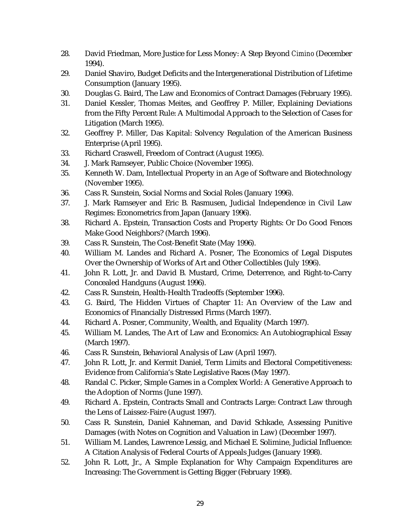- 28. David Friedman, More Justice for Less Money: A Step Beyond *Cimino* (December 1994).
- 29. Daniel Shaviro, Budget Deficits and the Intergenerational Distribution of Lifetime Consumption (January 1995).
- 30. Douglas G. Baird, The Law and Economics of Contract Damages (February 1995).
- 31. Daniel Kessler, Thomas Meites, and Geoffrey P. Miller, Explaining Deviations from the Fifty Percent Rule: A Multimodal Approach to the Selection of Cases for Litigation (March 1995).
- 32. Geoffrey P. Miller, Das Kapital: Solvency Regulation of the American Business Enterprise (April 1995).
- 33. Richard Craswell, Freedom of Contract (August 1995).
- 34. J. Mark Ramseyer, Public Choice (November 1995).
- 35. Kenneth W. Dam, Intellectual Property in an Age of Software and Biotechnology (November 1995).
- 36. Cass R. Sunstein, Social Norms and Social Roles (January 1996).
- 37. J. Mark Ramseyer and Eric B. Rasmusen, Judicial Independence in Civil Law Regimes: Econometrics from Japan (January 1996).
- 38. Richard A. Epstein, Transaction Costs and Property Rights: Or Do Good Fences Make Good Neighbors? (March 1996).
- 39. Cass R. Sunstein, The Cost-Benefit State (May 1996).
- 40. William M. Landes and Richard A. Posner, The Economics of Legal Disputes Over the Ownership of Works of Art and Other Collectibles (July 1996).
- 41. John R. Lott, Jr. and David B. Mustard, Crime, Deterrence, and Right-to-Carry Concealed Handguns (August 1996).
- 42. Cass R. Sunstein, Health-Health Tradeoffs (September 1996).
- 43. G. Baird, The Hidden Virtues of Chapter 11: An Overview of the Law and Economics of Financially Distressed Firms (March 1997).
- 44. Richard A. Posner, Community, Wealth, and Equality (March 1997).
- 45. William M. Landes, The Art of Law and Economics: An Autobiographical Essay (March 1997).
- 46. Cass R. Sunstein, Behavioral Analysis of Law (April 1997).
- 47. John R. Lott, Jr. and Kermit Daniel, Term Limits and Electoral Competitiveness: Evidence from California's State Legislative Races (May 1997).
- 48. Randal C. Picker, Simple Games in a Complex World: A Generative Approach to the Adoption of Norms (June 1997).
- 49. Richard A. Epstein, Contracts Small and Contracts Large: Contract Law through the Lens of Laissez-Faire (August 1997).
- 50. Cass R. Sunstein, Daniel Kahneman, and David Schkade, Assessing Punitive Damages (with Notes on Cognition and Valuation in Law) (December 1997).
- 51. William M. Landes, Lawrence Lessig, and Michael E. Solimine, Judicial Influence: A Citation Analysis of Federal Courts of Appeals Judges (January 1998).
- 52. John R. Lott, Jr., A Simple Explanation for Why Campaign Expenditures are Increasing: The Government is Getting Bigger (February 1998).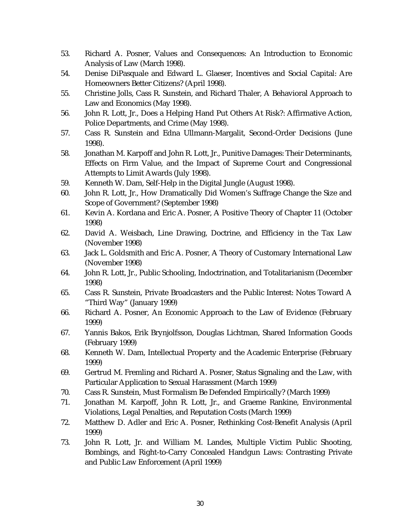- 53. Richard A. Posner, Values and Consequences: An Introduction to Economic Analysis of Law (March 1998).
- 54. Denise DiPasquale and Edward L. Glaeser, Incentives and Social Capital: Are Homeowners Better Citizens? (April 1998).
- 55. Christine Jolls, Cass R. Sunstein, and Richard Thaler, A Behavioral Approach to Law and Economics (May 1998).
- 56. John R. Lott, Jr., Does a Helping Hand Put Others At Risk?: Affirmative Action, Police Departments, and Crime (May 1998).
- 57. Cass R. Sunstein and Edna Ullmann-Margalit, Second-Order Decisions (June 1998).
- 58. Jonathan M. Karpoff and John R. Lott, Jr., Punitive Damages: Their Determinants, Effects on Firm Value, and the Impact of Supreme Court and Congressional Attempts to Limit Awards (July 1998).
- 59. Kenneth W. Dam, Self-Help in the Digital Jungle (August 1998).
- 60. John R. Lott, Jr., How Dramatically Did Women's Suffrage Change the Size and Scope of Government? (September 1998)
- 61. Kevin A. Kordana and Eric A. Posner, A Positive Theory of Chapter 11 (October 1998)
- 62. David A. Weisbach, Line Drawing, Doctrine, and Efficiency in the Tax Law (November 1998)
- 63. Jack L. Goldsmith and Eric A. Posner, A Theory of Customary International Law (November 1998)
- 64. John R. Lott, Jr., Public Schooling, Indoctrination, and Totalitarianism (December 1998)
- 65. Cass R. Sunstein, Private Broadcasters and the Public Interest: Notes Toward A "Third Way" (January 1999)
- 66. Richard A. Posner, An Economic Approach to the Law of Evidence (February 1999)
- 67. Yannis Bakos, Erik Brynjolfsson, Douglas Lichtman, Shared Information Goods (February 1999)
- 68. Kenneth W. Dam, Intellectual Property and the Academic Enterprise (February 1999)
- 69. Gertrud M. Fremling and Richard A. Posner, Status Signaling and the Law, with Particular Application to Sexual Harassment (March 1999)
- 70. Cass R. Sunstein, Must Formalism Be Defended Empirically? (March 1999)
- 71. Jonathan M. Karpoff, John R. Lott, Jr., and Graeme Rankine, Environmental Violations, Legal Penalties, and Reputation Costs (March 1999)
- 72. Matthew D. Adler and Eric A. Posner, Rethinking Cost-Benefit Analysis (April 1999)
- 73. John R. Lott, Jr. and William M. Landes, Multiple Victim Public Shooting, Bombings, and Right-to-Carry Concealed Handgun Laws: Contrasting Private and Public Law Enforcement (April 1999)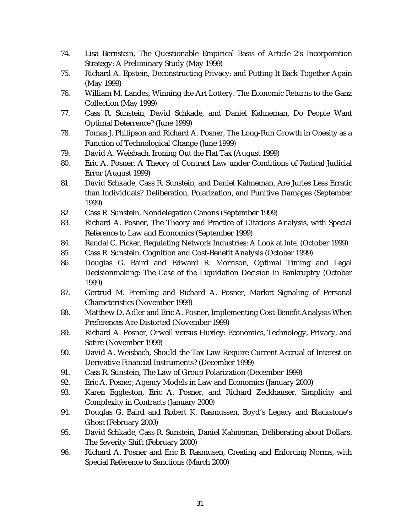- 74. Lisa Bernstein, The Questionable Empirical Basis of Article 2's Incorporation Strategy: A Preliminary Study (May 1999)
- 75. Richard A. Epstein, Deconstructing Privacy: and Putting It Back Together Again (May 1999)
- 76. William M. Landes, Winning the Art Lottery: The Economic Returns to the Ganz Collection (May 1999)
- 77. Cass R. Sunstein, David Schkade, and Daniel Kahneman, Do People Want Optimal Deterrence? (June 1999)
- 78. Tomas J. Philipson and Richard A. Posner, The Long-Run Growth in Obesity as a Function of Technological Change (June 1999)
- 79. David A. Weisbach, Ironing Out the Flat Tax (August 1999)
- 80. Eric A. Posner, A Theory of Contract Law under Conditions of Radical Judicial Error (August 1999)
- 81. David Schkade, Cass R. Sunstein, and Daniel Kahneman, Are Juries Less Erratic than Individuals? Deliberation, Polarization, and Punitive Damages (September 1999)
- 82. Cass R. Sunstein, Nondelegation Canons (September 1999)
- 83. Richard A. Posner, The Theory and Practice of Citations Analysis, with Special Reference to Law and Economics (September 1999)
- 84. Randal C. Picker, Regulating Network Industries: A Look at *Intel* (October 1999)
- 85. Cass R. Sunstein, Cognition and Cost-Benefit Analysis (October 1999)
- 86. Douglas G. Baird and Edward R. Morrison, Optimal Timing and Legal Decisionmaking: The Case of the Liquidation Decision in Bankruptcy (October 1999)
- 87. Gertrud M. Fremling and Richard A. Posner, Market Signaling of Personal Characteristics (November 1999)
- 88. Matthew D. Adler and Eric A. Posner, Implementing Cost-Benefit Analysis When Preferences Are Distorted (November 1999)
- 89. Richard A. Posner, Orwell versus Huxley: Economics, Technology, Privacy, and Satire (November 1999)
- 90. David A. Weisbach, Should the Tax Law Require Current Accrual of Interest on Derivative Financial Instruments? (December 1999)
- 91. Cass R. Sunstein, The Law of Group Polarization (December 1999)
- 92. Eric A. Posner, Agency Models in Law and Economics (January 2000)
- 93. Karen Eggleston, Eric A. Posner, and Richard Zeckhauser, Simplicity and Complexity in Contracts (January 2000)
- 94. Douglas G. Baird and Robert K. Rasmussen, Boyd's Legacy and Blackstone's Ghost (February 2000)
- 95. David Schkade, Cass R. Sunstein, Daniel Kahneman, Deliberating about Dollars: The Severity Shift (February 2000)
- 96. Richard A. Posner and Eric B. Rasmusen, Creating and Enforcing Norms, with Special Reference to Sanctions (March 2000)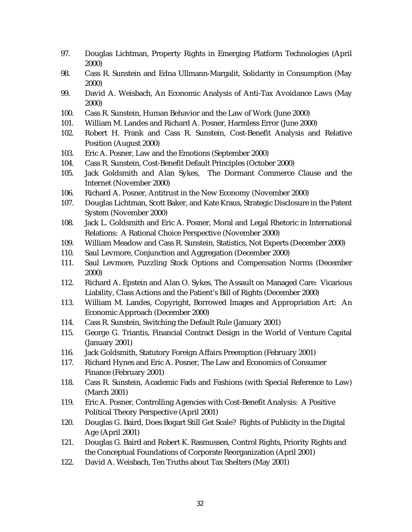- 97. Douglas Lichtman, Property Rights in Emerging Platform Technologies (April 2000)
- 98. Cass R. Sunstein and Edna Ullmann-Margalit, Solidarity in Consumption (May 2000)
- 99. David A. Weisbach, An Economic Analysis of Anti-Tax Avoidance Laws (May 2000)
- 100. Cass R. Sunstein, Human Behavior and the Law of Work (June 2000)
- 101. William M. Landes and Richard A. Posner, Harmless Error (June 2000)
- 102. Robert H. Frank and Cass R. Sunstein, Cost-Benefit Analysis and Relative Position (August 2000)
- 103. Eric A. Posner, Law and the Emotions (September 2000)
- 104. Cass R. Sunstein, Cost-Benefit Default Principles (October 2000)
- 105. Jack Goldsmith and Alan Sykes, The Dormant Commerce Clause and the Internet (November 2000)
- 106. Richard A. Posner, Antitrust in the New Economy (November 2000)
- 107. Douglas Lichtman, Scott Baker, and Kate Kraus, Strategic Disclosure in the Patent System (November 2000)
- 108. Jack L. Goldsmith and Eric A. Posner, Moral and Legal Rhetoric in International Relations: A Rational Choice Perspective (November 2000)
- 109. William Meadow and Cass R. Sunstein, Statistics, Not Experts (December 2000)
- 110. Saul Levmore, Conjunction and Aggregation (December 2000)
- 111. Saul Levmore, Puzzling Stock Options and Compensation Norms (December 2000)
- 112. Richard A. Epstein and Alan O. Sykes, The Assault on Managed Care: Vicarious Liability, Class Actions and the Patient's Bill of Rights (December 2000)
- 113. William M. Landes, Copyright, Borrowed Images and Appropriation Art: An Economic Approach (December 2000)
- 114. Cass R. Sunstein, Switching the Default Rule (January 2001)
- 115. George G. Triantis, Financial Contract Design in the World of Venture Capital (January 2001)
- 116. Jack Goldsmith, Statutory Foreign Affairs Preemption (February 2001)
- 117. Richard Hynes and Eric A. Posner, The Law and Economics of Consumer Finance (February 2001)
- 118. Cass R. Sunstein, Academic Fads and Fashions (with Special Reference to Law) (March 2001)
- 119. Eric A. Posner, Controlling Agencies with Cost-Benefit Analysis: A Positive Political Theory Perspective (April 2001)
- 120. Douglas G. Baird, Does Bogart Still Get Scale? Rights of Publicity in the Digital Age (April 2001)
- 121. Douglas G. Baird and Robert K. Rasmussen, Control Rights, Priority Rights and the Conceptual Foundations of Corporate Reorganization (April 2001)
- 122. David A. Weisbach, Ten Truths about Tax Shelters (May 2001)